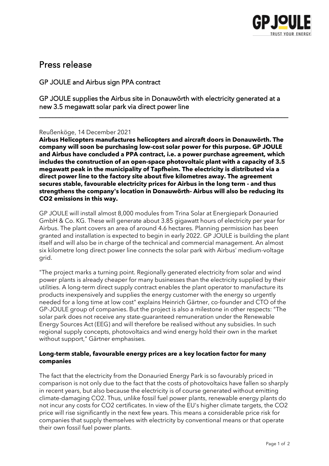

# Press release

GP JOULE and Airbus sign PPA contract

GP JOULE supplies the Airbus site in Donauwörth with electricity generated at a new 3.5 megawatt solar park via direct power line

\_\_\_\_\_\_\_\_\_\_\_\_\_\_\_\_\_\_\_\_\_\_\_\_\_\_\_\_\_\_\_\_\_\_\_\_\_\_\_\_\_\_\_\_\_\_\_\_\_\_\_\_\_\_\_\_\_\_\_\_\_\_\_\_\_\_\_\_\_\_\_\_\_\_\_

# Reußenköge, 14 December 2021

**Airbus Helicopters manufactures helicopters and aircraft doors in Donauwörth. The company will soon be purchasing low-cost solar power for this purpose. GP JOULE and Airbus have concluded a PPA contract, i.e. a power purchase agreement, which includes the construction of an open-space photovoltaic plant with a capacity of 3.5 megawatt peak in the municipality of Tapfheim. The electricity is distributed via a direct power line to the factory site about five kilometres away. The agreement secures stable, favourable electricity prices for Airbus in the long term - and thus strengthens the company's location in Donauwörth- Airbus will also be reducing its CO2 emissions in this way.**

GP JOULE will install almost 8,000 modules from Trina Solar at Energiepark Donauried GmbH & Co. KG. These will generate about 3.85 gigawatt hours of electricity per year for Airbus. The plant covers an area of around 4.6 hectares. Planning permission has been granted and installation is expected to begin in early 2022. GP JOULE is building the plant itself and will also be in charge of the technical and commercial management. An almost six kilometre long direct power line connects the solar park with Airbus' medium-voltage grid.

"The project marks a turning point. Regionally generated electricity from solar and wind power plants is already cheaper for many businesses than the electricity supplied by their utilities. A long-term direct supply contract enables the plant operator to manufacture its products inexpensively and supplies the energy customer with the energy so urgently needed for a long time at low cost" explains Heinrich Gärtner, co-founder and CTO of the GP-JOULE group of companies. But the project is also a milestone in other respects: "The solar park does not receive any state-guaranteed remuneration under the Renewable Energy Sources Act (EEG) and will therefore be realised without any subsidies. In such regional supply concepts, photovoltaics and wind energy hold their own in the market without support," Gärtner emphasises.

# **Long-term stable, favourable energy prices are a key location factor for many companies**

The fact that the electricity from the Donauried Energy Park is so favourably priced in comparison is not only due to the fact that the costs of photovoltaics have fallen so sharply in recent years, but also because the electricity is of course generated without emitting climate-damaging CO2. Thus, unlike fossil fuel power plants, renewable energy plants do not incur any costs for CO2 certificates. In view of the EU's higher climate targets, the CO2 price will rise significantly in the next few years. This means a considerable price risk for companies that supply themselves with electricity by conventional means or that operate their own fossil fuel power plants.